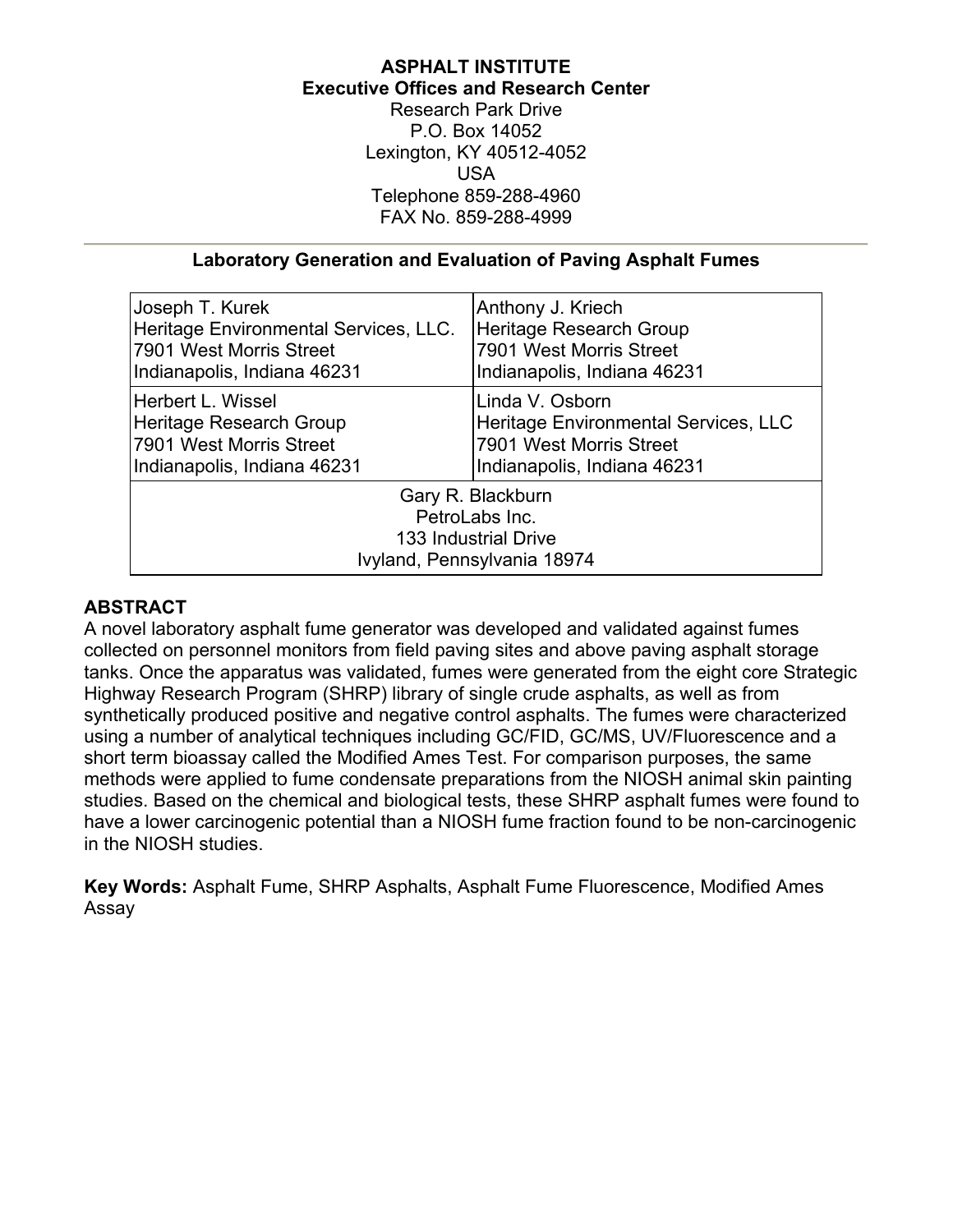# **ASPHALT INSTITUTE Executive Offices and Research Center**

Research Park Drive P.O. Box 14052 Lexington, KY 40512-4052 USA Telephone 859-288-4960 FAX No. 859-288-4999

### **Laboratory Generation and Evaluation of Paving Asphalt Fumes**

| Joseph T. Kurek                                                                                   | Anthony J. Kriech                    |  |  |  |  |
|---------------------------------------------------------------------------------------------------|--------------------------------------|--|--|--|--|
| Heritage Environmental Services, LLC.                                                             | Heritage Research Group              |  |  |  |  |
| 7901 West Morris Street                                                                           | 7901 West Morris Street              |  |  |  |  |
| Indianapolis, Indiana 46231                                                                       | Indianapolis, Indiana 46231          |  |  |  |  |
| Herbert L. Wissel                                                                                 | Linda V. Osborn                      |  |  |  |  |
| Heritage Research Group                                                                           | Heritage Environmental Services, LLC |  |  |  |  |
| 7901 West Morris Street                                                                           | 7901 West Morris Street              |  |  |  |  |
| Indianapolis, Indiana 46231                                                                       | Indianapolis, Indiana 46231          |  |  |  |  |
| Gary R. Blackburn<br>PetroLabs Inc.<br><b>133 Industrial Drive</b><br>Ivyland, Pennsylvania 18974 |                                      |  |  |  |  |

# **ABSTRACT**

A novel laboratory asphalt fume generator was developed and validated against fumes collected on personnel monitors from field paving sites and above paving asphalt storage tanks. Once the apparatus was validated, fumes were generated from the eight core Strategic Highway Research Program (SHRP) library of single crude asphalts, as well as from synthetically produced positive and negative control asphalts. The fumes were characterized using a number of analytical techniques including GC/FID, GC/MS, UV/Fluorescence and a short term bioassay called the Modified Ames Test. For comparison purposes, the same methods were applied to fume condensate preparations from the NIOSH animal skin painting studies. Based on the chemical and biological tests, these SHRP asphalt fumes were found to have a lower carcinogenic potential than a NIOSH fume fraction found to be non-carcinogenic in the NIOSH studies.

Key Words: Asphalt Fume, SHRP Asphalts, Asphalt Fume Fluorescence, Modified Ames Assay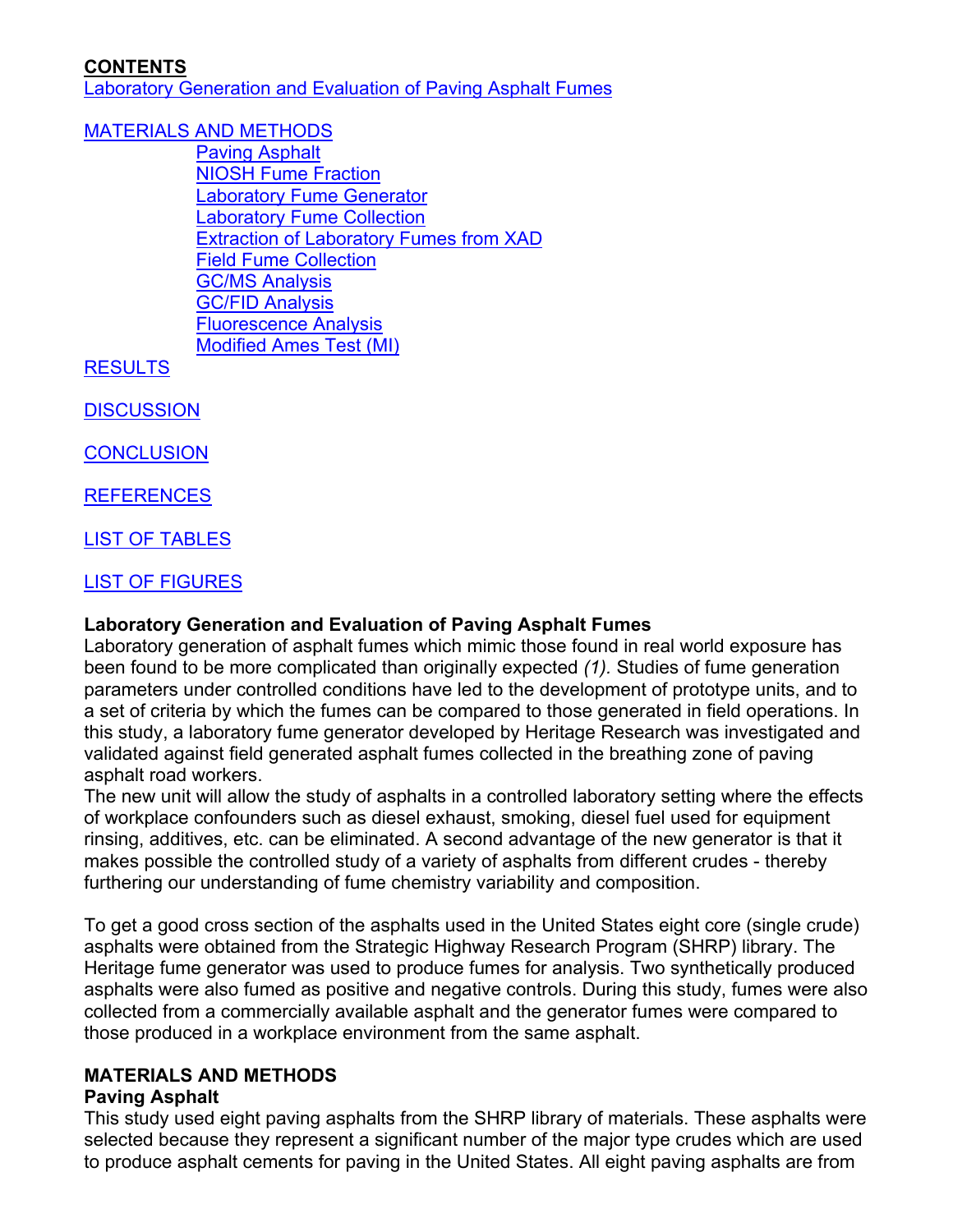# <span id="page-1-0"></span>**CONTENTS**

Laboratory Generation and Evaluation of Paving Asphalt Fumes

[MATERIALS AND METHODS](#page-1-0)

[Paving Asphalt](#page-1-0) [NIOSH Fume Fraction](#page-2-0) [Laboratory Fume Generator](#page-2-0) [Laboratory Fume Collection](#page-3-0) [Extraction of Laboratory Fumes from XAD](#page-3-0) [Field Fume Collection](#page-4-0) [GC/MS Analysis](#page-4-0) [GC/FID Analysis](#page-4-0) [Fluorescence Analysis](#page-4-0) [Modified Ames Test \(MI\)](#page-5-0)

**[RESULTS](#page-5-0)** 

**[DISCUSSION](#page-6-0)** 

**[CONCLUSION](#page-7-0)** 

**[REFERENCES](#page-8-0)** 

[LIST OF TABLES](#page-8-0)

[LIST OF FIGURES](#page-8-0)

# **Laboratory Generation and Evaluation of Paving Asphalt Fumes**

Laboratory generation of asphalt fumes which mimic those found in real world exposure has been found to be more complicated than originally expected *(1).* Studies of fume generation parameters under controlled conditions have led to the development of prototype units, and to a set of criteria by which the fumes can be compared to those generated in field operations. In this study, a laboratory fume generator developed by Heritage Research was investigated and validated against field generated asphalt fumes collected in the breathing zone of paving asphalt road workers.

The new unit will allow the study of asphalts in a controlled laboratory setting where the effects of workplace confounders such as diesel exhaust, smoking, diesel fuel used for equipment rinsing, additives, etc. can be eliminated. A second advantage of the new generator is that it makes possible the controlled study of a variety of asphalts from different crudes - thereby furthering our understanding of fume chemistry variability and composition.

To get a good cross section of the asphalts used in the United States eight core (single crude) asphalts were obtained from the Strategic Highway Research Program (SHRP) library. The Heritage fume generator was used to produce fumes for analysis. Two synthetically produced asphalts were also fumed as positive and negative controls. During this study, fumes were also collected from a commercially available asphalt and the generator fumes were compared to those produced in a workplace environment from the same asphalt.

# **MATERIALS AND METHODS**

### **Paving Asphalt**

This study used eight paving asphalts from the SHRP library of materials. These asphalts were selected because they represent a significant number of the major type crudes which are used to produce asphalt cements for paving in the United States. All eight paving asphalts are from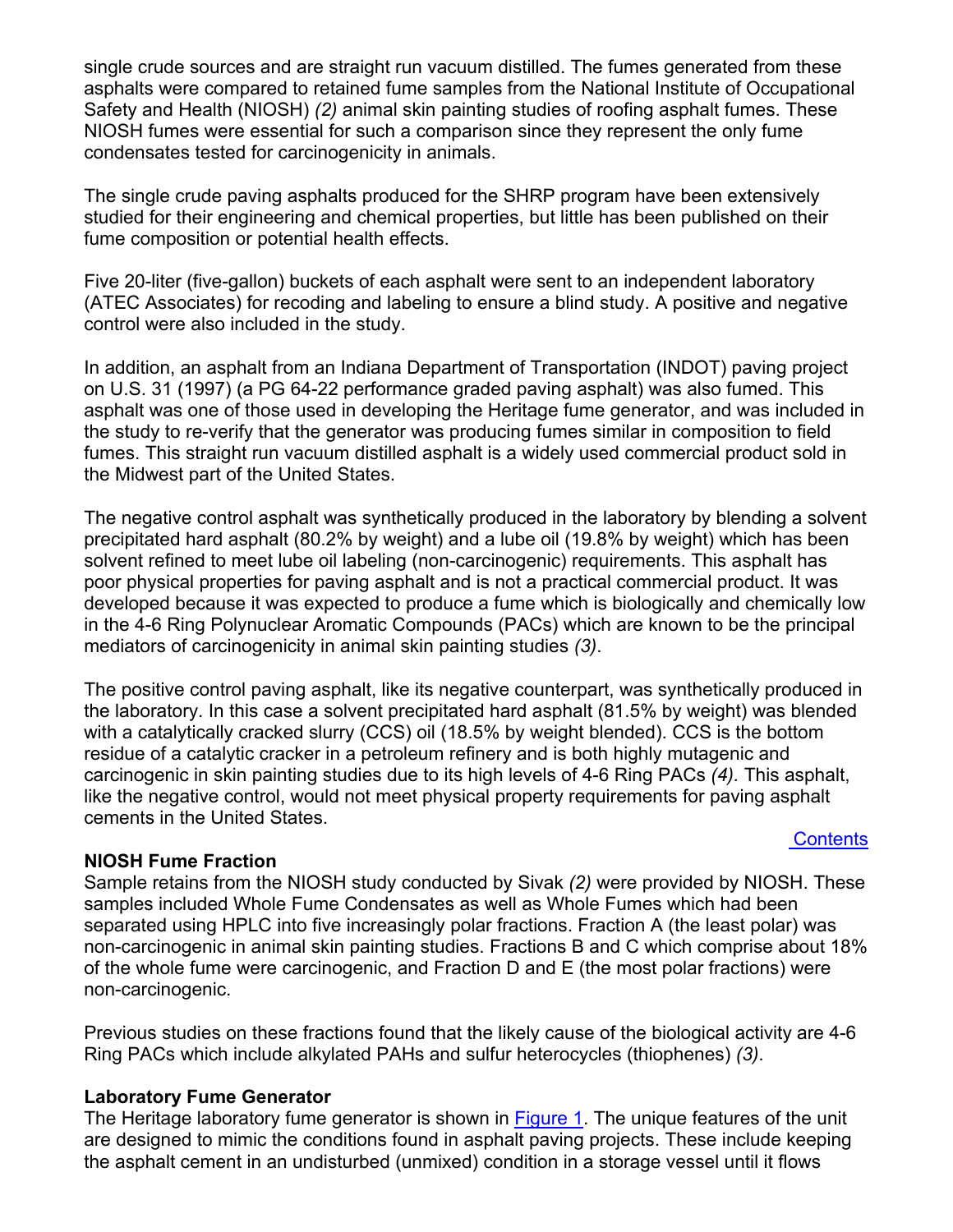<span id="page-2-0"></span>single crude sources and are straight run vacuum distilled. The fumes generated from these asphalts were compared to retained fume samples from the National Institute of Occupational Safety and Health (NIOSH) *(2)* animal skin painting studies of roofing asphalt fumes. These NIOSH fumes were essential for such a comparison since they represent the only fume condensates tested for carcinogenicity in animals.

The single crude paving asphalts produced for the SHRP program have been extensively studied for their engineering and chemical properties, but little has been published on their fume composition or potential health effects.

Five 20-liter (five-gallon) buckets of each asphalt were sent to an independent laboratory (ATEC Associates) for recoding and labeling to ensure a blind study. A positive and negative control were also included in the study.

In addition, an asphalt from an Indiana Department of Transportation (INDOT) paving project on U.S. 31 (1997) (a PG 64-22 performance graded paving asphalt) was also fumed. This asphalt was one of those used in developing the Heritage fume generator, and was included in the study to re-verify that the generator was producing fumes similar in composition to field fumes. This straight run vacuum distilled asphalt is a widely used commercial product sold in the Midwest part of the United States.

The negative control asphalt was synthetically produced in the laboratory by blending a solvent precipitated hard asphalt (80.2% by weight) and a lube oil (19.8% by weight) which has been solvent refined to meet lube oil labeling (non-carcinogenic) requirements. This asphalt has poor physical properties for paving asphalt and is not a practical commercial product. It was developed because it was expected to produce a fume which is biologically and chemically low in the 4-6 Ring Polynuclear Aromatic Compounds (PACs) which are known to be the principal mediators of carcinogenicity in animal skin painting studies *(3)*.

The positive control paving asphalt, like its negative counterpart, was synthetically produced in the laboratory. In this case a solvent precipitated hard asphalt (81.5% by weight) was blended with a catalytically cracked slurry (CCS) oil (18.5% by weight blended). CCS is the bottom residue of a catalytic cracker in a petroleum refinery and is both highly mutagenic and carcinogenic in skin painting studies due to its high levels of 4-6 Ring PACs *(4).* This asphalt, like the negative control, would not meet physical property requirements for paving asphalt cements in the United States.

### **NIOSH Fume Fraction**

Sample retains from the NIOSH study conducted by Sivak *(2)* were provided by NIOSH. These samples included Whole Fume Condensates as well as Whole Fumes which had been separated using HPLC into five increasingly polar fractions. Fraction A (the least polar) was non-carcinogenic in animal skin painting studies. Fractions B and C which comprise about 18% of the whole fume were carcinogenic, and Fraction D and E (the most polar fractions) were non-carcinogenic.

Previous studies on these fractions found that the likely cause of the biological activity are 4-6 Ring PACs which include alkylated PAHs and sulfur heterocycles (thiophenes) *(3)*.

### **Laboratory Fume Generator**

The Heritage laboratory fume generator is shown in [Figure 1.](#page-3-0) The unique features of the unit are designed to mimic the conditions found in asphalt paving projects. These include keeping the asphalt cement in an undisturbed (unmixed) condition in a storage vessel until it flows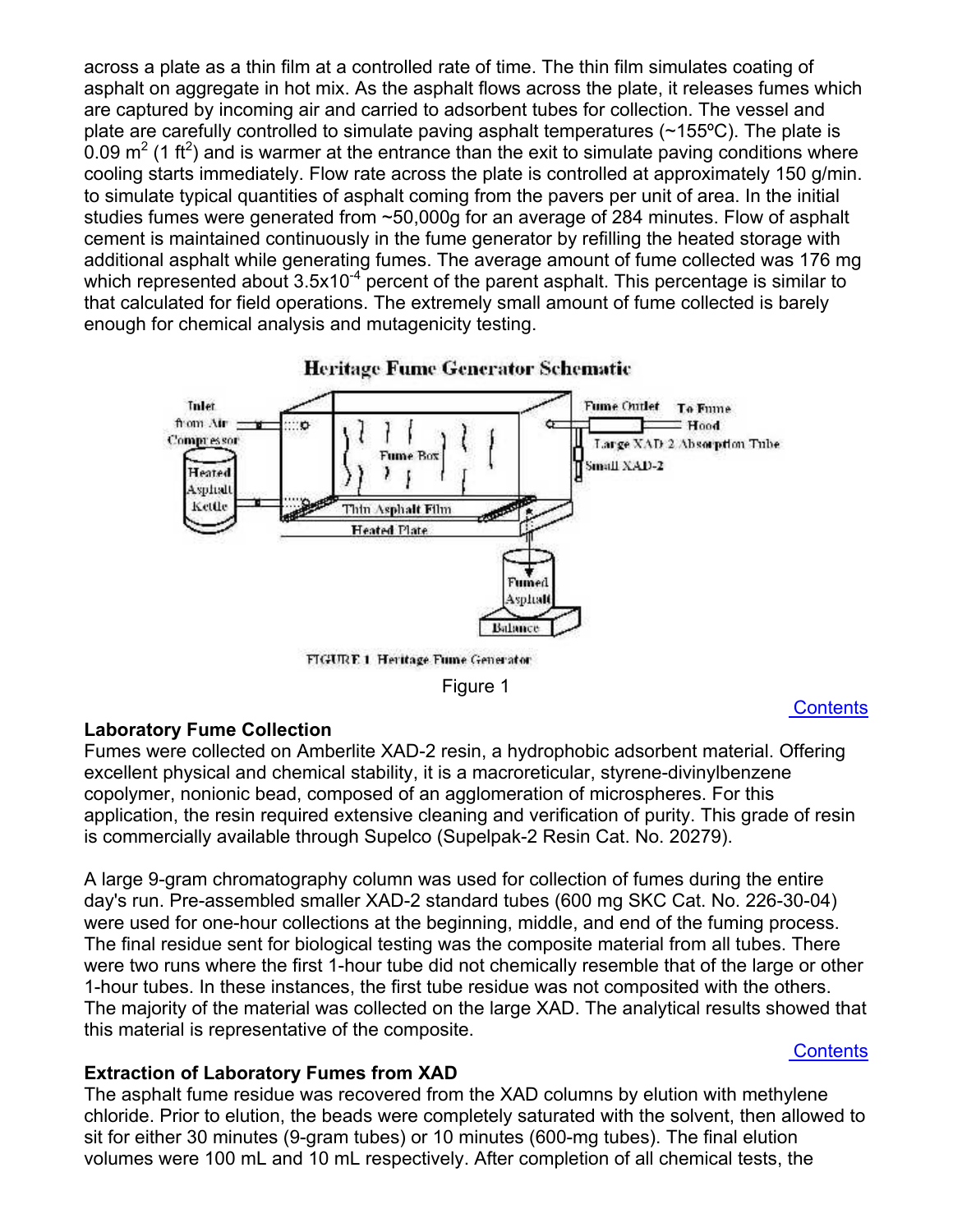<span id="page-3-0"></span>across a plate as a thin film at a controlled rate of time. The thin film simulates coating of asphalt on aggregate in hot mix. As the asphalt flows across the plate, it releases fumes which are captured by incoming air and carried to adsorbent tubes for collection. The vessel and plate are carefully controlled to simulate paving asphalt temperatures (~155ºC). The plate is 0.09 m<sup>2</sup> (1 ft<sup>2</sup>) and is warmer at the entrance than the exit to simulate paving conditions where cooling starts immediately. Flow rate across the plate is controlled at approximately 150 g/min. to simulate typical quantities of asphalt coming from the pavers per unit of area. In the initial studies fumes were generated from ~50,000g for an average of 284 minutes. Flow of asphalt cement is maintained continuously in the fume generator by refilling the heated storage with additional asphalt while generating fumes. The average amount of fume collected was 176 mg which represented about  $3.5x10^{-4}$  percent of the parent asphalt. This percentage is similar to that calculated for field operations. The extremely small amount of fume collected is barely enough for chemical analysis and mutagenicity testing.



**Heritage Fume Generator Schematic** 

FIGURE 1 Heritage Fume Generator

Figure 1

### **Contents**

### **Laboratory Fume Collection**

Fumes were collected on Amberlite XAD-2 resin, a hydrophobic adsorbent material. Offering excellent physical and chemical stability, it is a macroreticular, styrene-divinylbenzene copolymer, nonionic bead, composed of an agglomeration of microspheres. For this application, the resin required extensive cleaning and verification of purity. This grade of resin is commercially available through Supelco (Supelpak-2 Resin Cat. No. 20279).

A large 9-gram chromatography column was used for collection of fumes during the entire day's run. Pre-assembled smaller XAD-2 standard tubes (600 mg SKC Cat. No. 226-30-04) were used for one-hour collections at the beginning, middle, and end of the fuming process. The final residue sent for biological testing was the composite material from all tubes. There were two runs where the first 1-hour tube did not chemically resemble that of the large or other 1-hour tubes. In these instances, the first tube residue was not composited with the others. The majority of the material was collected on the large XAD. The analytical results showed that this material is representative of the composite.

**Contents** 

# **Extraction of Laboratory Fumes from XAD**

The asphalt fume residue was recovered from the XAD columns by elution with methylene chloride. Prior to elution, the beads were completely saturated with the solvent, then allowed to sit for either 30 minutes (9-gram tubes) or 10 minutes (600-mg tubes). The final elution volumes were 100 mL and 10 mL respectively. After completion of all chemical tests, the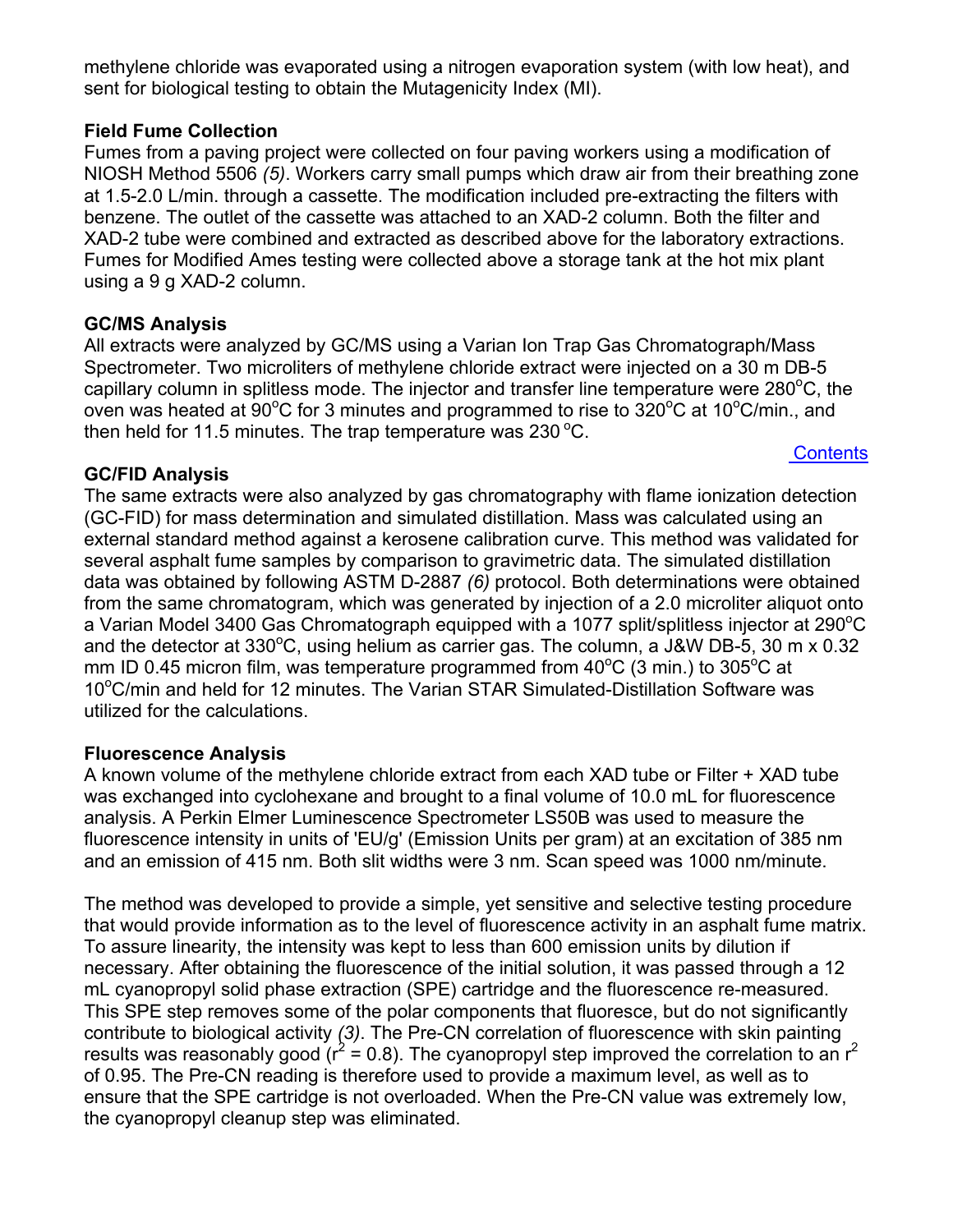<span id="page-4-0"></span>methylene chloride was evaporated using a nitrogen evaporation system (with low heat), and sent for biological testing to obtain the Mutagenicity Index (MI).

# **Field Fume Collection**

Fumes from a paving project were collected on four paving workers using a modification of NIOSH Method 5506 *(5)*. Workers carry small pumps which draw air from their breathing zone at 1.5-2.0 L/min. through a cassette. The modification included pre-extracting the filters with benzene. The outlet of the cassette was attached to an XAD-2 column. Both the filter and XAD-2 tube were combined and extracted as described above for the laboratory extractions. Fumes for Modified Ames testing were collected above a storage tank at the hot mix plant using a 9 g XAD-2 column.

# **GC/MS Analysis**

All extracts were analyzed by GC/MS using a Varian Ion Trap Gas Chromatograph/Mass Spectrometer. Two microliters of methylene chloride extract were injected on a 30 m DB-5 capillary column in splitless mode. The injector and transfer line temperature were 280 $\mathrm{^{\circ}C}$ , the oven was heated at 90°C for 3 minutes and programmed to rise to 320°C at 10°C/min., and then held for 11.5 minutes. The trap temperature was  $230^{\circ}$ C.

**Contents** 

# **GC/FID Analysis**

The same extracts were also analyzed by gas chromatography with flame ionization detection (GC-FID) for mass determination and simulated distillation. Mass was calculated using an external standard method against a kerosene calibration curve. This method was validated for several asphalt fume samples by comparison to gravimetric data. The simulated distillation data was obtained by following ASTM D-2887 *(6)* protocol. Both determinations were obtained from the same chromatogram, which was generated by injection of a 2.0 microliter aliquot onto a Varian Model 3400 Gas Chromatograph equipped with a 1077 split/splitless injector at 290 $^{\circ}$ C and the detector at 330°C, using helium as carrier gas. The column, a J&W DB-5, 30 m x 0.32 mm ID 0.45 micron film, was temperature programmed from 40 $\mathrm{^{\circ}C}$  (3 min.) to 305 $\mathrm{^{\circ}C}$  at 10°C/min and held for 12 minutes. The Varian STAR Simulated-Distillation Software was utilized for the calculations.

### **Fluorescence Analysis**

A known volume of the methylene chloride extract from each XAD tube or Filter + XAD tube was exchanged into cyclohexane and brought to a final volume of 10.0 mL for fluorescence analysis. A Perkin Elmer Luminescence Spectrometer LS50B was used to measure the fluorescence intensity in units of 'EU/g' (Emission Units per gram) at an excitation of 385 nm and an emission of 415 nm. Both slit widths were 3 nm. Scan speed was 1000 nm/minute.

The method was developed to provide a simple, yet sensitive and selective testing procedure that would provide information as to the level of fluorescence activity in an asphalt fume matrix. To assure linearity, the intensity was kept to less than 600 emission units by dilution if necessary. After obtaining the fluorescence of the initial solution, it was passed through a 12 mL cyanopropyl solid phase extraction (SPE) cartridge and the fluorescence re-measured. This SPE step removes some of the polar components that fluoresce, but do not significantly contribute to biological activity *(3)*. The Pre-CN correlation of fluorescence with skin painting results was reasonably good ( $r^2$  = 0.8). The cyanopropyl step improved the correlation to an  $r^2$ of 0.95. The Pre-CN reading is therefore used to provide a maximum level, as well as to ensure that the SPE cartridge is not overloaded. When the Pre-CN value was extremely low, the cyanopropyl cleanup step was eliminated.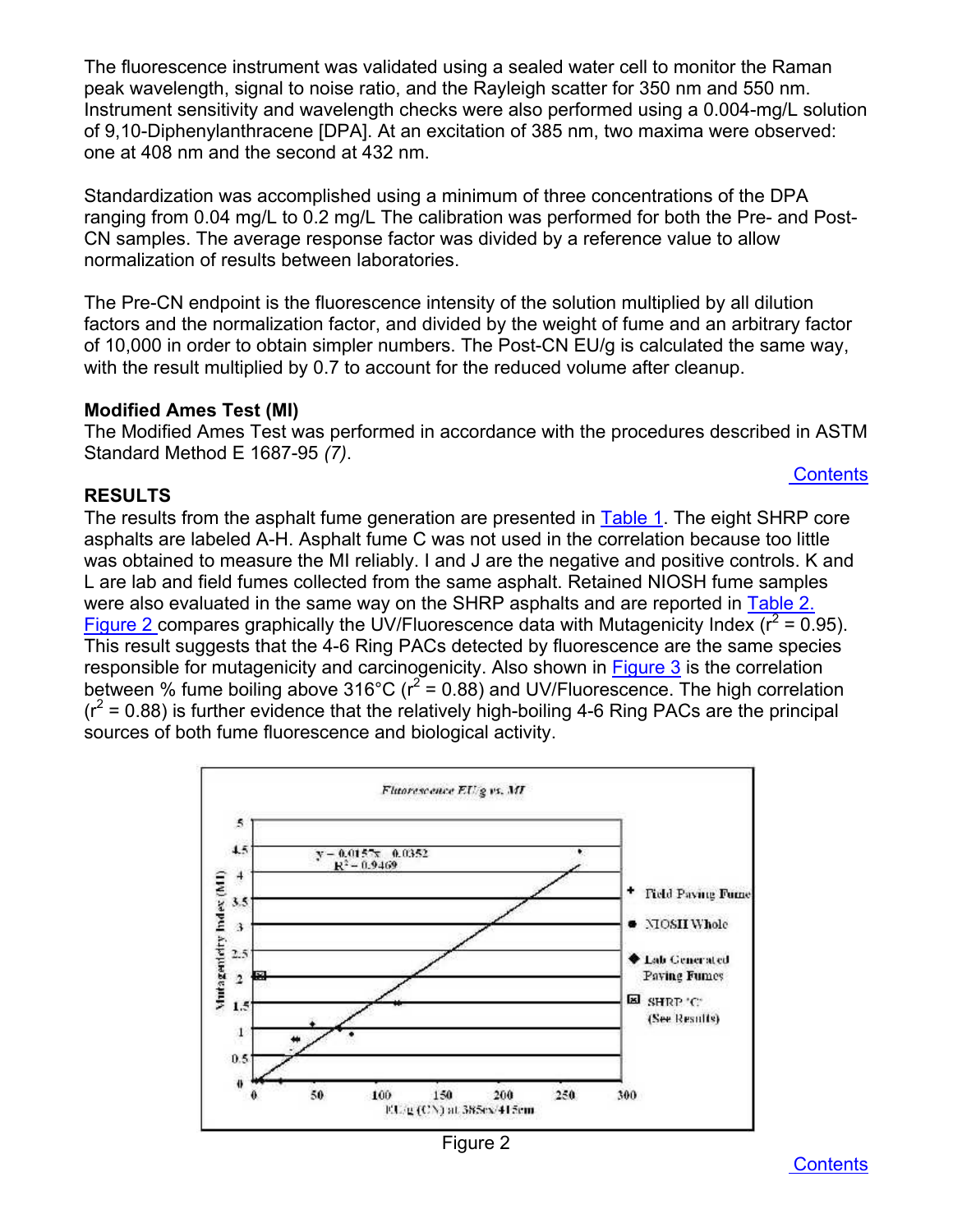<span id="page-5-0"></span>The fluorescence instrument was validated using a sealed water cell to monitor the Raman peak wavelength, signal to noise ratio, and the Rayleigh scatter for 350 nm and 550 nm. Instrument sensitivity and wavelength checks were also performed using a 0.004-mg/L solution of 9,10-Diphenylanthracene [DPA]. At an excitation of 385 nm, two maxima were observed: one at 408 nm and the second at 432 nm.

Standardization was accomplished using a minimum of three concentrations of the DPA ranging from 0.04 mg/L to 0.2 mg/L The calibration was performed for both the Pre- and Post-CN samples. The average response factor was divided by a reference value to allow normalization of results between laboratories.

The Pre-CN endpoint is the fluorescence intensity of the solution multiplied by all dilution factors and the normalization factor, and divided by the weight of fume and an arbitrary factor of 10,000 in order to obtain simpler numbers. The Post-CN EU/g is calculated the same way, with the result multiplied by 0.7 to account for the reduced volume after cleanup.

### **Modified Ames Test (MI)**

The Modified Ames Test was performed in accordance with the procedures described in ASTM Standard Method E 1687-95 *(7)*.

# **RESULTS**

The results from the asphalt fume generation are presented in **[Table](#page-9-0) 1**. The eight SHRP core asphalts are labeled A-H. Asphalt fume C was not used in the correlation because too little was obtained to measure the MI reliably. I and J are the negative and positive controls. K and L are lab and field fumes collected from the same asphalt. Retained NIOSH fume samples were also evaluated in the same way on the SHRP asphalts and are reported in [Table 2.](#page-9-0) [Figure 2](#page-5-0) compares graphically the UV/Fluorescence data with Mutagenicity Index ( $r^2$  = 0.95). This result suggests that the 4-6 Ring PACs detected by fluorescence are the same species responsible for mutagenicity and carcinogenicity. Also shown in [Figure 3](#page-6-0) is the correlation between % fume boiling above 316°C ( $r^2$  = 0.88) and UV/Fluorescence. The high correlation  $(r^2 = 0.88)$  is further evidence that the relatively high-boiling 4-6 Ring PACs are the principal sources of both fume fluorescence and biological activity.



Figure 2

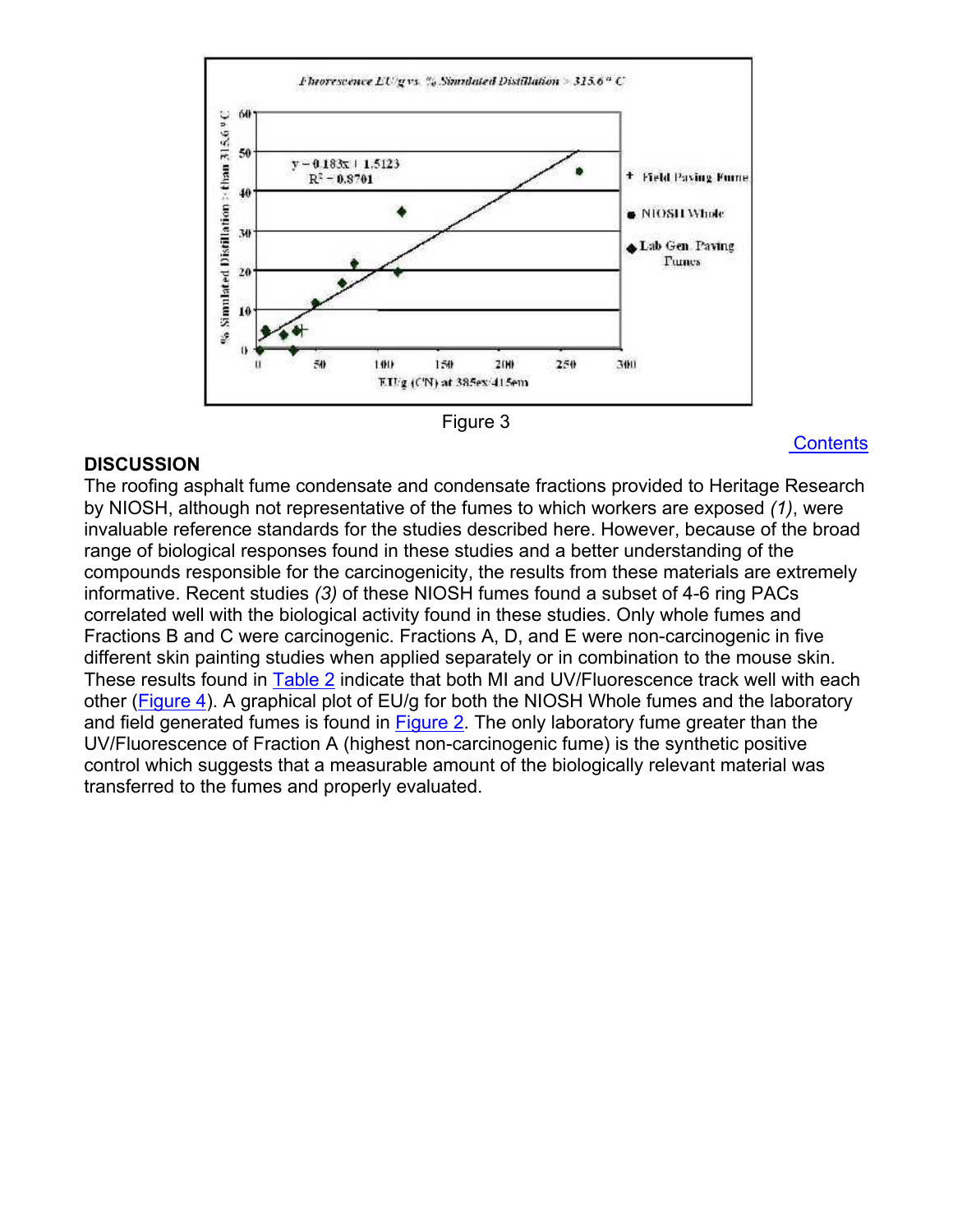<span id="page-6-0"></span>



#### **DISCUSSION**

The roofing asphalt fume condensate and condensate fractions provided to Heritage Research by NIOSH, although not representative of the fumes to which workers are exposed *(1)*, were invaluable reference standards for the studies described here. However, because of the broad range of biological responses found in these studies and a better understanding of the compounds responsible for the carcinogenicity, the results from these materials are extremely informative. Recent studies *(3)* of these NIOSH fumes found a subset of 4-6 ring PACs correlated well with the biological activity found in these studies. Only whole fumes and Fractions B and C were carcinogenic. Fractions A, D, and E were non-carcinogenic in five different skin painting studies when applied separately or in combination to the mouse skin. These results found in [Table 2](#page-9-0) indicate that both MI and UV/Fluorescence track well with each other ([Figure 4\)](#page-7-0). A graphical plot of EU/g for both the NIOSH Whole fumes and the laboratory and field generated fumes is found in **Figure 2**. The only laboratory fume greater than the UV/Fluorescence of Fraction A (highest non-carcinogenic fume) is the synthetic positive control which suggests that a measurable amount of the biologically relevant material was transferred to the fumes and properly evaluated.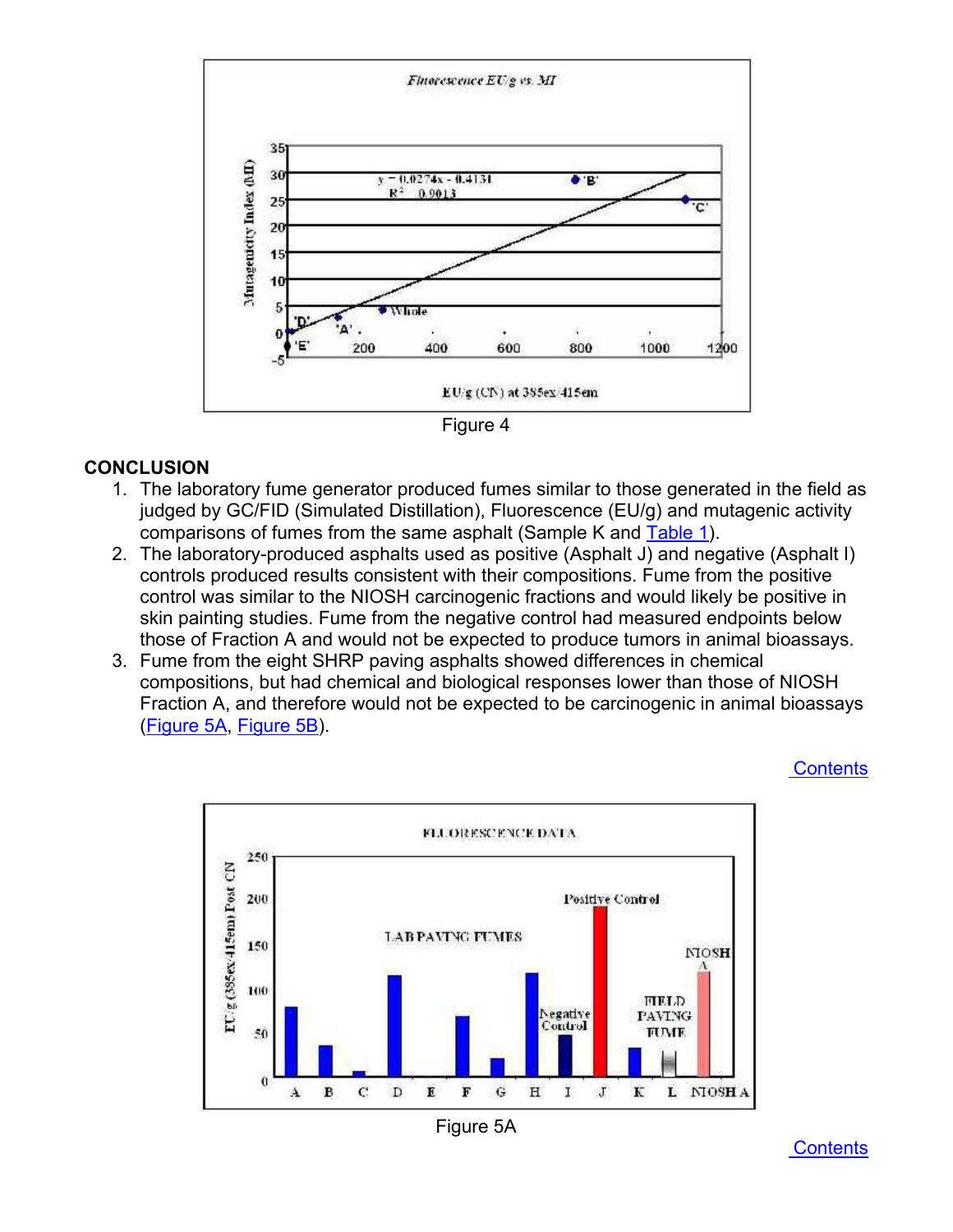<span id="page-7-0"></span>

Figure 4

# **CONCLUSION**

- 1. The laboratory fume generator produced fumes similar to those generated in the field as judged by GC/FID (Simulated Distillation), Fluorescence (EU/g) and mutagenic activity comparisons of fumes from the same asphalt (Sample K and [Table 1\)](#page-9-0).
- 2. The laboratory-produced asphalts used as positive (Asphalt J) and negative (Asphalt I) controls produced results consistent with their compositions. Fume from the positive control was similar to the NIOSH carcinogenic fractions and would likely be positive in skin painting studies. Fume from the negative control had measured endpoints below those of Fraction A and would not be expected to produce tumors in animal bioassays.
- 3. Fume from the eight SHRP paving asphalts showed differences in chemical compositions, but had chemical and biological responses lower than those of NIOSH Fraction A, and therefore would not be expected to be carcinogenic in animal bioassays ([Figure 5A,](#page-7-0) [Figure 5B\)](#page-8-0).



Figure 5A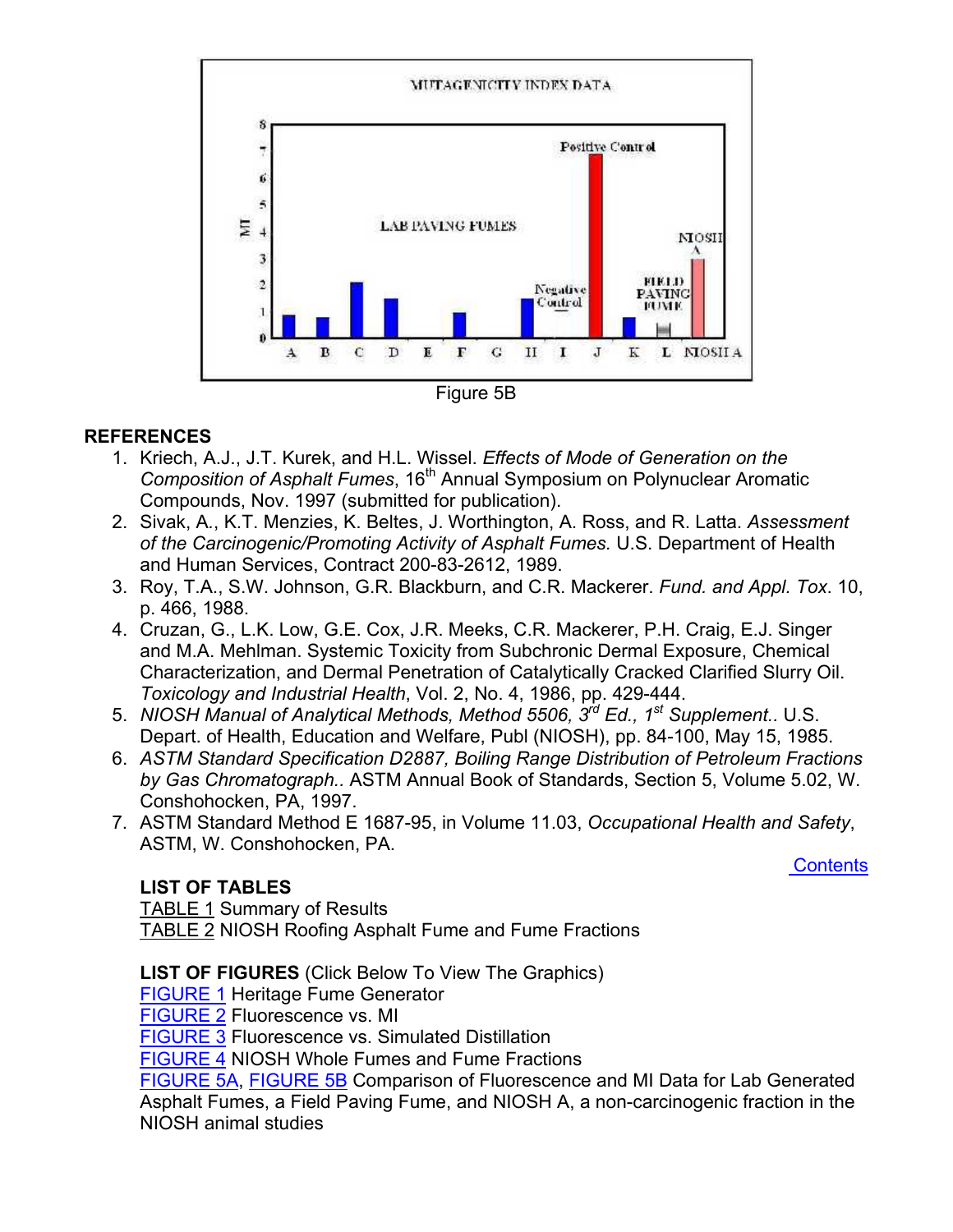<span id="page-8-0"></span>

# **REFERENCES**

- 1. Kriech, A.J., J.T. Kurek, and H.L. Wissel. *Effects of Mode of Generation on the Composition of Asphalt Fumes*, 16th Annual Symposium on Polynuclear Aromatic Compounds, Nov. 1997 (submitted for publication).
- 2. Sivak, A*.*, K.T. Menzies, K. Beltes, J. Worthington, A. Ross, and R. Latta. *Assessment of the Carcinogenic/Promoting Activity of Asphalt Fumes.* U.S. Department of Health and Human Services, Contract 200-83-2612, 1989.
- 3. Roy, T.A., S.W. Johnson, G.R. Blackburn, and C.R. Mackerer. *Fund. and Appl. Tox*. 10, p. 466, 1988.
- 4. Cruzan, G., L.K. Low, G.E. Cox, J.R. Meeks, C.R. Mackerer, P.H. Craig, E.J. Singer and M.A. Mehlman. Systemic Toxicity from Subchronic Dermal Exposure, Chemical Characterization, and Dermal Penetration of Catalytically Cracked Clarified Slurry Oil. *Toxicology and Industrial Health*, Vol. 2, No. 4, 1986, pp. 429-444.
- 5. *NIOSH Manual of Analytical Methods, Method 5506, 3rd Ed., 1st Supplement..* U.S. Depart. of Health, Education and Welfare, Publ (NIOSH), pp. 84-100, May 15, 1985.
- 6. *ASTM Standard Specification D2887, Boiling Range Distribution of Petroleum Fractions by Gas Chromatograph..* ASTM Annual Book of Standards, Section 5, Volume 5.02, W. Conshohocken, PA, 1997.
- 7. ASTM Standard Method E 1687-95, in Volume 11.03, *Occupational Health and Safety*, ASTM, W. Conshohocken, PA.

### **LIST OF TABLES**

**Contents** 

[TABLE 1](#page-9-0) Summary of Results [TABLE 2](#page-9-0) NIOSH Roofing Asphalt Fume and Fume Fractions

**LIST OF FIGURES** (Click Below To View The Graphics)

[FIGURE 1](#page-3-0) Heritage Fume Generator

[FIGURE 2](#page-5-0) Fluorescence vs. MI

[FIGURE 3](#page-6-0) Fluorescence vs. Simulated Distillation

[FIGURE 4](#page-7-0) NIOSH Whole Fumes and Fume Fractions

[FIGURE 5A](#page-7-0), [FIGURE 5B](#page-8-0) Comparison of Fluorescence and MI Data for Lab Generated Asphalt Fumes, a Field Paving Fume, and NIOSH A, a non-carcinogenic fraction in the NIOSH animal studies